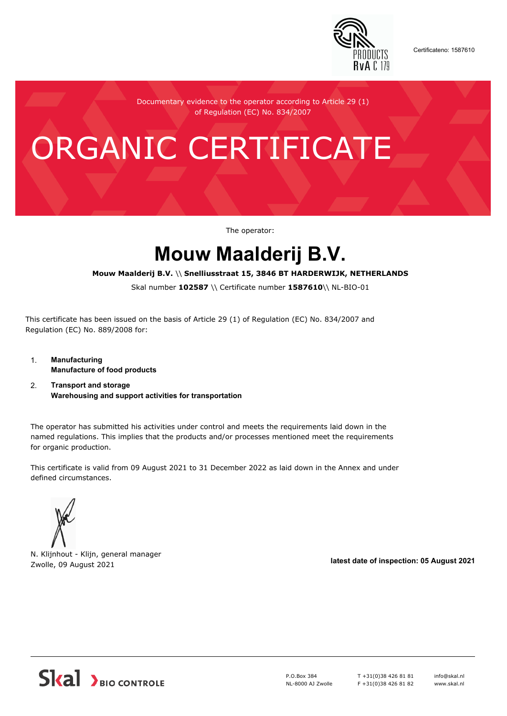

Certificateno: 1587610

Documentary evidence to the operator according to Article 29 (1) of Regulation (EC) No. 834/2007

# ORGANIC CERTIFICATE

The operator:

## **Mouw Maalderij B.V.**

#### **Mouw Maalderij B.V.** \\ **Snelliusstraat 15, 3846 BT HARDERWIJK, NETHERLANDS**

Skal number **102587** \\ Certificate number **1587610**\\ NL-BIO-01

This certificate has been issued on the basis of Article 29 (1) of Regulation (EC) No. 834/2007 and Regulation (EC) No. 889/2008 for:

- 1. **Manufacturing Manufacture of food products**
- 2. **Transport and storage Warehousing and support activities for transportation**

The operator has submitted his activities under control and meets the requirements laid down in the named regulations. This implies that the products and/or processes mentioned meet the requirements for organic production.

This certificate is valid from 09 August 2021 to 31 December 2022 as laid down in the Annex and under defined circumstances.



N. Klijnhout - Klijn, general manager Zwolle, 09 August 2021 **latest date of inspection: 05 August 2021**



P.O.Box 384 NL-8000 AJ Zwolle T +31(0)38 426 81 81 F +31(0)38 426 81 82